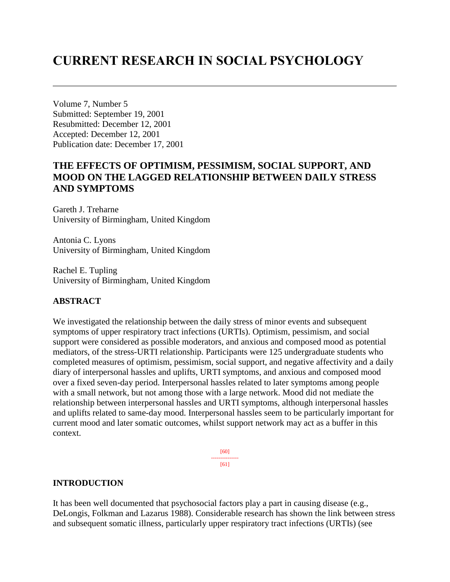# **CURRENT RESEARCH IN SOCIAL PSYCHOLOGY**

Volume 7, Number 5 Submitted: September 19, 2001 Resubmitted: December 12, 2001 Accepted: December 12, 2001 Publication date: December 17, 2001

## **THE EFFECTS OF OPTIMISM, PESSIMISM, SOCIAL SUPPORT, AND MOOD ON THE LAGGED RELATIONSHIP BETWEEN DAILY STRESS AND SYMPTOMS**

Gareth J. Treharne University of Birmingham, United Kingdom

Antonia C. Lyons University of Birmingham, United Kingdom

Rachel E. Tupling University of Birmingham, United Kingdom

#### **ABSTRACT**

We investigated the relationship between the daily stress of minor events and subsequent symptoms of upper respiratory tract infections (URTIs). Optimism, pessimism, and social support were considered as possible moderators, and anxious and composed mood as potential mediators, of the stress-URTI relationship. Participants were 125 undergraduate students who completed measures of optimism, pessimism, social support, and negative affectivity and a daily diary of interpersonal hassles and uplifts, URTI symptoms, and anxious and composed mood over a fixed seven-day period. Interpersonal hassles related to later symptoms among people with a small network, but not among those with a large network. Mood did not mediate the relationship between interpersonal hassles and URTI symptoms, although interpersonal hassles and uplifts related to same-day mood. Interpersonal hassles seem to be particularly important for current mood and later somatic outcomes, whilst support network may act as a buffer in this context.

> [60] --------------- [61]

#### **INTRODUCTION**

It has been well documented that psychosocial factors play a part in causing disease (e.g., DeLongis, Folkman and Lazarus 1988). Considerable research has shown the link between stress and subsequent somatic illness, particularly upper respiratory tract infections (URTIs) (see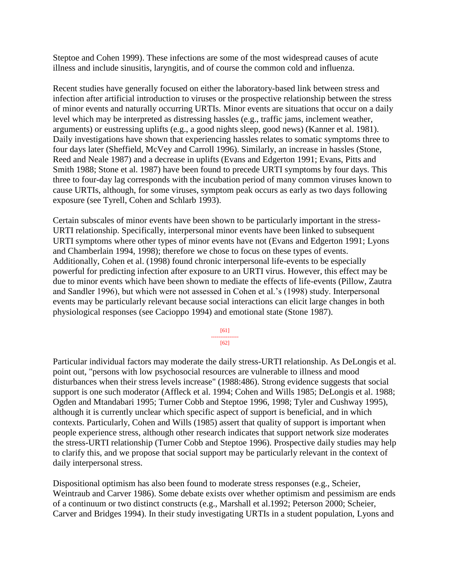Steptoe and Cohen 1999). These infections are some of the most widespread causes of acute illness and include sinusitis, laryngitis, and of course the common cold and influenza.

Recent studies have generally focused on either the laboratory-based link between stress and infection after artificial introduction to viruses or the prospective relationship between the stress of minor events and naturally occurring URTIs. Minor events are situations that occur on a daily level which may be interpreted as distressing hassles (e.g., traffic jams, inclement weather, arguments) or eustressing uplifts (e.g., a good nights sleep, good news) (Kanner et al. 1981). Daily investigations have shown that experiencing hassles relates to somatic symptoms three to four days later (Sheffield, McVey and Carroll 1996). Similarly, an increase in hassles (Stone, Reed and Neale 1987) and a decrease in uplifts (Evans and Edgerton 1991; Evans, Pitts and Smith 1988; Stone et al. 1987) have been found to precede URTI symptoms by four days. This three to four-day lag corresponds with the incubation period of many common viruses known to cause URTIs, although, for some viruses, symptom peak occurs as early as two days following exposure (see Tyrell, Cohen and Schlarb 1993).

Certain subscales of minor events have been shown to be particularly important in the stress-URTI relationship. Specifically, interpersonal minor events have been linked to subsequent URTI symptoms where other types of minor events have not (Evans and Edgerton 1991; Lyons and Chamberlain 1994, 1998); therefore we chose to focus on these types of events. Additionally, Cohen et al. (1998) found chronic interpersonal life-events to be especially powerful for predicting infection after exposure to an URTI virus. However, this effect may be due to minor events which have been shown to mediate the effects of life-events (Pillow, Zautra and Sandler 1996), but which were not assessed in Cohen et al.'s (1998) study. Interpersonal events may be particularly relevant because social interactions can elicit large changes in both physiological responses (see Cacioppo 1994) and emotional state (Stone 1987).

> [61] --------------- [62]

Particular individual factors may moderate the daily stress-URTI relationship. As DeLongis et al. point out, "persons with low psychosocial resources are vulnerable to illness and mood disturbances when their stress levels increase" (1988:486). Strong evidence suggests that social support is one such moderator (Affleck et al. 1994; Cohen and Wills 1985; DeLongis et al. 1988; Ogden and Mtandabari 1995; Turner Cobb and Steptoe 1996, 1998; Tyler and Cushway 1995), although it is currently unclear which specific aspect of support is beneficial, and in which contexts. Particularly, Cohen and Wills (1985) assert that quality of support is important when people experience stress, although other research indicates that support network size moderates the stress-URTI relationship (Turner Cobb and Steptoe 1996). Prospective daily studies may help to clarify this, and we propose that social support may be particularly relevant in the context of daily interpersonal stress.

Dispositional optimism has also been found to moderate stress responses (e.g., Scheier, Weintraub and Carver 1986). Some debate exists over whether optimism and pessimism are ends of a continuum or two distinct constructs (e.g., Marshall et al.1992; Peterson 2000; Scheier, Carver and Bridges 1994). In their study investigating URTIs in a student population, Lyons and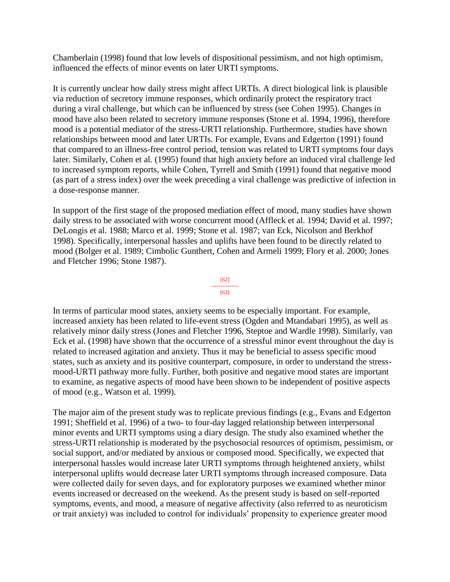Chamberlain (1998) found that low levels of dispositional pessimism, and not high optimism, influenced the effects of minor events on later URTI symptoms.

It is currently unclear how daily stress might affect URTIs. A direct biological link is plausible via reduction of secretory immune responses, which ordinarily protect the respiratory tract during a viral challenge, but which can be influenced by stress (see Cohen 1995). Changes in mood have also been related to secretory immune responses (Stone et al. 1994, 1996), therefore mood is a potential mediator of the stress-URTI relationship. Furthermore, studies have shown relationships between mood and later URTIs. For example, Evans and Edgerton (1991) found that compared to an illness-free control period, tension was related to URTI symptoms four days later. Similarly, Cohen et al. (1995) found that high anxiety before an induced viral challenge led to increased symptom reports, while Cohen, Tyrrell and Smith (1991) found that negative mood (as part of a stress index) over the week preceding a viral challenge was predictive of infection in a dose-response manner.

In support of the first stage of the proposed mediation effect of mood, many studies have shown daily stress to be associated with worse concurrent mood (Affleck et al. 1994; David et al. 1997; DeLongis et al. 1988; Marco et al. 1999; Stone et al. 1987; van Eck, Nicolson and Berkhof 1998). Specifically, interpersonal hassles and uplifts have been found to be directly related to mood (Bolger et al. 1989; Cimbolic Gunthert, Cohen and Armeli 1999; Flory et al. 2000; Jones and Fletcher 1996; Stone 1987).



In terms of particular mood states, anxiety seems to be especially important. For example, increased anxiety has been related to life-event stress (Ogden and Mtandabari 1995), as well as relatively minor daily stress (Jones and Fletcher 1996, Steptoe and Wardle 1998). Similarly, van Eck et al. (1998) have shown that the occurrence of a stressful minor event throughout the day is related to increased agitation and anxiety. Thus it may be beneficial to assess specific mood states, such as anxiety and its positive counterpart, composure, in order to understand the stressmood-URTI pathway more fully. Further, both positive and negative mood states are important to examine, as negative aspects of mood have been shown to be independent of positive aspects of mood (e.g., Watson et al. 1999).

The major aim of the present study was to replicate previous findings (e.g., Evans and Edgerton 1991; Sheffield et al. 1996) of a two- to four-day lagged relationship between interpersonal minor events and URTI symptoms using a diary design. The study also examined whether the stress-URTI relationship is moderated by the psychosocial resources of optimism, pessimism, or social support, and/or mediated by anxious or composed mood. Specifically, we expected that interpersonal hassles would increase later URTI symptoms through heightened anxiety, whilst interpersonal uplifts would decrease later URTI symptoms through increased composure. Data were collected daily for seven days, and for exploratory purposes we examined whether minor events increased or decreased on the weekend. As the present study is based on self-reported symptoms, events, and mood, a measure of negative affectivity (also referred to as neuroticism or trait anxiety) was included to control for individuals' propensity to experience greater mood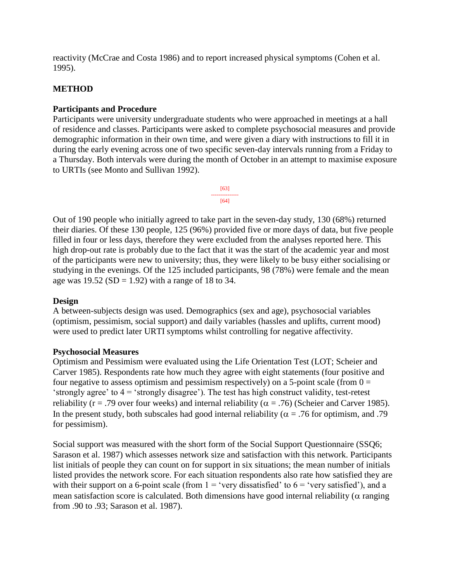reactivity (McCrae and Costa 1986) and to report increased physical symptoms (Cohen et al. 1995).

## **METHOD**

### **Participants and Procedure**

Participants were university undergraduate students who were approached in meetings at a hall of residence and classes. Participants were asked to complete psychosocial measures and provide demographic information in their own time, and were given a diary with instructions to fill it in during the early evening across one of two specific seven-day intervals running from a Friday to a Thursday. Both intervals were during the month of October in an attempt to maximise exposure to URTIs (see Monto and Sullivan 1992).



Out of 190 people who initially agreed to take part in the seven-day study, 130 (68%) returned their diaries. Of these 130 people, 125 (96%) provided five or more days of data, but five people filled in four or less days, therefore they were excluded from the analyses reported here. This high drop-out rate is probably due to the fact that it was the start of the academic year and most of the participants were new to university; thus, they were likely to be busy either socialising or studying in the evenings. Of the 125 included participants, 98 (78%) were female and the mean age was  $19.52$  (SD = 1.92) with a range of 18 to 34.

#### **Design**

A between-subjects design was used. Demographics (sex and age), psychosocial variables (optimism, pessimism, social support) and daily variables (hassles and uplifts, current mood) were used to predict later URTI symptoms whilst controlling for negative affectivity.

#### **Psychosocial Measures**

Optimism and Pessimism were evaluated using the Life Orientation Test (LOT; Scheier and Carver 1985). Respondents rate how much they agree with eight statements (four positive and four negative to assess optimism and pessimism respectively) on a 5-point scale (from  $0 =$ 'strongly agree' to  $4 =$  'strongly disagree'). The test has high construct validity, test-retest reliability ( $r = .79$  over four weeks) and internal reliability ( $\alpha = .76$ ) (Scheier and Carver 1985). In the present study, both subscales had good internal reliability ( $\alpha$  = .76 for optimism, and .79 for pessimism).

Social support was measured with the short form of the Social Support Questionnaire (SSQ6; Sarason et al. 1987) which assesses network size and satisfaction with this network. Participants list initials of people they can count on for support in six situations; the mean number of initials listed provides the network score. For each situation respondents also rate how satisfied they are with their support on a 6-point scale (from  $1 =$  'very dissatisfied' to  $6 =$  'very satisfied'), and a mean satisfaction score is calculated. Both dimensions have good internal reliability ( $\alpha$  ranging from .90 to .93; Sarason et al. 1987).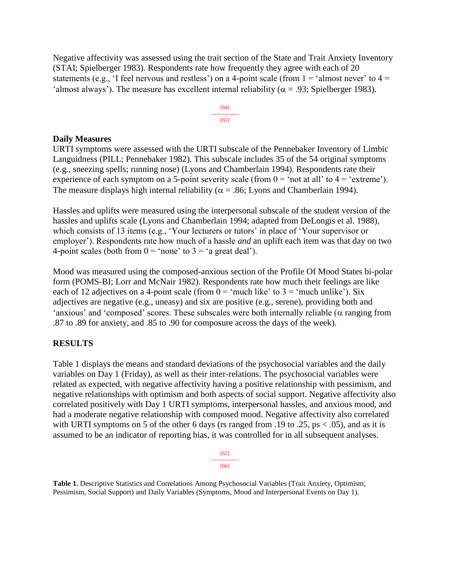Negative affectivity was assessed using the trait section of the State and Trait Anxiety Inventory (STAI; Spielberger 1983). Respondents rate how frequently they agree with each of 20 statements (e.g., 'I feel nervous and restless') on a 4-point scale (from  $1 =$  'almost never' to  $4 =$ 'almost always'). The measure has excellent internal reliability ( $\alpha$  = .93; Spielberger 1983).



#### **Daily Measures**

URTI symptoms were assessed with the URTI subscale of the Pennebaker Inventory of Limbic Languidness (PILL; Pennebaker 1982). This subscale includes 35 of the 54 original symptoms (e.g., sneezing spells; running nose) (Lyons and Chamberlain 1994). Respondents rate their experience of each symptom on a 5-point severity scale (from  $0 = \text{`not at all' to } 4 = \text{`extreme'}$ ). The measure displays high internal reliability ( $\alpha$  = .86; Lyons and Chamberlain 1994).

Hassles and uplifts were measured using the interpersonal subscale of the student version of the hassles and uplifts scale (Lyons and Chamberlain 1994; adapted from DeLongis et al. 1988), which consists of 13 items (e.g., 'Your lecturers or tutors' in place of 'Your supervisor or employer'). Respondents rate how much of a hassle *and* an uplift each item was that day on two 4-point scales (both from  $0 = \text{`none'}$  to  $3 = \text{`a great deal'}$ ).

Mood was measured using the composed-anxious section of the Profile Of Mood States bi-polar form (POMS-BI; Lorr and McNair 1982). Respondents rate how much their feelings are like each of 12 adjectives on a 4-point scale (from  $0 = \text{`much like' to } 3 = \text{`much unlike'}).$  Six adjectives are negative (e.g., uneasy) and six are positive (e.g., serene), providing both and 'anxious' and 'composed' scores. These subscales were both internally reliable ( $\alpha$  ranging from .87 to .89 for anxiety, and .85 to .90 for composure across the days of the week).

#### **RESULTS**

Table 1 displays the means and standard deviations of the psychosocial variables and the daily variables on Day 1 (Friday), as well as their inter-relations. The psychosocial variables were related as expected, with negative affectivity having a positive relationship with pessimism, and negative relationships with optimism and both aspects of social support. Negative affectivity also correlated positively with Day 1 URTI symptoms, interpersonal hassles, and anxious mood, and had a moderate negative relationship with composed mood. Negative affectivity also correlated with URTI symptoms on 5 of the other 6 days (rs ranged from .19 to .25, ps  $\lt$  .05), and as it is assumed to be an indicator of reporting bias, it was controlled for in all subsequent analyses.

> [65] --------------- [66]

**Table 1.** Descriptive Statistics and Correlations Among Psychosocial Variables (Trait Anxiety, Optimism, Pessimism, Social Support) and Daily Variables (Symptoms, Mood and Interpersonal Events on Day 1).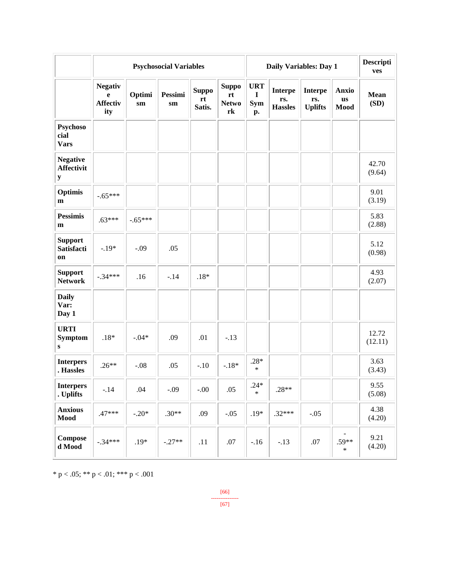|                                                     |                                               |              | <b>Psychosocial Variables</b> |                              |                                          |                                        | Daily Variables: Day 1                  |                                         |                                          | Descripti<br>ves    |
|-----------------------------------------------------|-----------------------------------------------|--------------|-------------------------------|------------------------------|------------------------------------------|----------------------------------------|-----------------------------------------|-----------------------------------------|------------------------------------------|---------------------|
|                                                     | <b>Negativ</b><br>e<br><b>Affectiv</b><br>ity | Optimi<br>sm | Pessimi<br>sm                 | <b>Suppo</b><br>rt<br>Satis. | <b>Suppo</b><br>rt<br><b>Netwo</b><br>rk | <b>URT</b><br>$\mathbf I$<br>Sym<br>р. | <b>Interpe</b><br>rs.<br><b>Hassles</b> | <b>Interpe</b><br>rs.<br><b>Uplifts</b> | <b>Anxio</b><br><b>us</b><br><b>Mood</b> | <b>Mean</b><br>(SD) |
| Psychoso<br>cial<br><b>Vars</b>                     |                                               |              |                               |                              |                                          |                                        |                                         |                                         |                                          |                     |
| <b>Negative</b><br><b>Affectivit</b><br>$\mathbf y$ |                                               |              |                               |                              |                                          |                                        |                                         |                                         |                                          | 42.70<br>(9.64)     |
| Optimis<br>$\mathbf{m}$                             | $-.65***$                                     |              |                               |                              |                                          |                                        |                                         |                                         |                                          | 9.01<br>(3.19)      |
| <b>Pessimis</b><br>$\mathbf{m}$                     | $.63***$                                      | $-.65***$    |                               |                              |                                          |                                        |                                         |                                         |                                          | 5.83<br>(2.88)      |
| <b>Support</b><br><b>Satisfacti</b><br>on           | $-.19*$                                       | $-.09$       | .05                           |                              |                                          |                                        |                                         |                                         |                                          | 5.12<br>(0.98)      |
| <b>Support</b><br><b>Network</b>                    | $-.34***$                                     | .16          | $-.14$                        | $.18*$                       |                                          |                                        |                                         |                                         |                                          | 4.93<br>(2.07)      |
| <b>Daily</b><br>Var:<br>Day 1                       |                                               |              |                               |                              |                                          |                                        |                                         |                                         |                                          |                     |
| <b>URTI</b><br><b>Symptom</b><br>${\bf S}$          | $.18*$                                        | $-.04*$      | .09                           | .01                          | $-.13$                                   |                                        |                                         |                                         |                                          | 12.72<br>(12.11)    |
| <b>Interpers</b><br>. Hassles                       | $.26**$                                       | $-.08$       | .05                           | $-.10$                       | $-.18*$                                  | $.28*$<br>$\ast$                       |                                         |                                         |                                          | 3.63<br>(3.43)      |
| <b>Interpers</b><br>. Uplifts                       | $-.14$                                        | .04          | $-.09$                        | $-.00$                       | .05                                      | $.24*$<br>$\ast$                       | $.28**$                                 |                                         |                                          | 9.55<br>(5.08)      |
| <b>Anxious</b><br><b>Mood</b>                       | $.47***$                                      | $-.20*$      | $.30**$                       | .09                          | $-.05$                                   | $.19*$                                 | $.32***$                                | $-.05$                                  |                                          | 4.38<br>(4.20)      |
| <b>Compose</b><br>d Mood                            | $-.34***$                                     | $.19*$       | $-.27**$                      | .11                          | $.07\,$                                  | $-.16$                                 | $-.13$                                  | $.07$                                   | $.59**$<br>$\ast$                        | 9.21<br>(4.20)      |

 $\,^*$  p < .05;  $^{**}$  p < .01;  $^{***}$  p < .001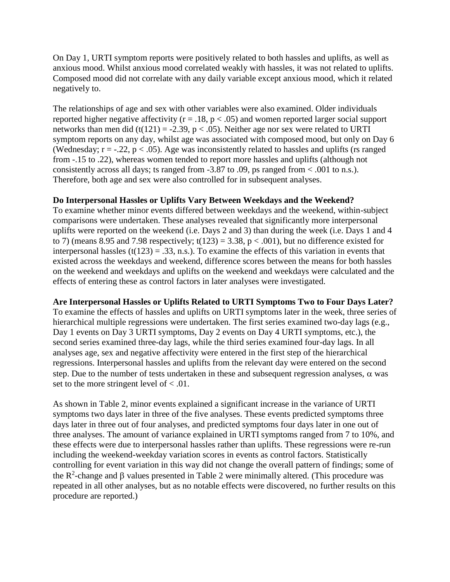On Day 1, URTI symptom reports were positively related to both hassles and uplifts, as well as anxious mood. Whilst anxious mood correlated weakly with hassles, it was not related to uplifts. Composed mood did not correlate with any daily variable except anxious mood, which it related negatively to.

The relationships of age and sex with other variables were also examined. Older individuals reported higher negative affectivity ( $r = .18$ ,  $p < .05$ ) and women reported larger social support networks than men did (t(121) = -2.39,  $p < .05$ ). Neither age nor sex were related to URTI symptom reports on any day, whilst age was associated with composed mood, but only on Day 6 (Wednesday;  $r = -0.22$ ,  $p < 0.05$ ). Age was inconsistently related to hassles and uplifts (rs ranged from -.15 to .22), whereas women tended to report more hassles and uplifts (although not consistently across all days; ts ranged from -3.87 to .09, ps ranged from < .001 to n.s.). Therefore, both age and sex were also controlled for in subsequent analyses.

## **Do Interpersonal Hassles or Uplifts Vary Between Weekdays and the Weekend?**

To examine whether minor events differed between weekdays and the weekend, within-subject comparisons were undertaken. These analyses revealed that significantly more interpersonal uplifts were reported on the weekend (i.e. Days 2 and 3) than during the week (i.e. Days 1 and 4 to 7) (means 8.95 and 7.98 respectively;  $t(123) = 3.38$ ,  $p < .001$ ), but no difference existed for interpersonal hassles  $(t(123) = .33, n.s.).$  To examine the effects of this variation in events that existed across the weekdays and weekend, difference scores between the means for both hassles on the weekend and weekdays and uplifts on the weekend and weekdays were calculated and the effects of entering these as control factors in later analyses were investigated.

**Are Interpersonal Hassles or Uplifts Related to URTI Symptoms Two to Four Days Later?**

To examine the effects of hassles and uplifts on URTI symptoms later in the week, three series of hierarchical multiple regressions were undertaken. The first series examined two-day lags (e.g., Day 1 events on Day 3 URTI symptoms, Day 2 events on Day 4 URTI symptoms, etc.), the second series examined three-day lags, while the third series examined four-day lags. In all analyses age, sex and negative affectivity were entered in the first step of the hierarchical regressions. Interpersonal hassles and uplifts from the relevant day were entered on the second step. Due to the number of tests undertaken in these and subsequent regression analyses,  $\alpha$  was set to the more stringent level of < .01.

As shown in Table 2, minor events explained a significant increase in the variance of URTI symptoms two days later in three of the five analyses. These events predicted symptoms three days later in three out of four analyses, and predicted symptoms four days later in one out of three analyses. The amount of variance explained in URTI symptoms ranged from 7 to 10%, and these effects were due to interpersonal hassles rather than uplifts. These regressions were re-run including the weekend-weekday variation scores in events as control factors. Statistically controlling for event variation in this way did not change the overall pattern of findings; some of the  $R^2$ -change and  $\beta$  values presented in Table 2 were minimally altered. (This procedure was repeated in all other analyses, but as no notable effects were discovered, no further results on this procedure are reported.)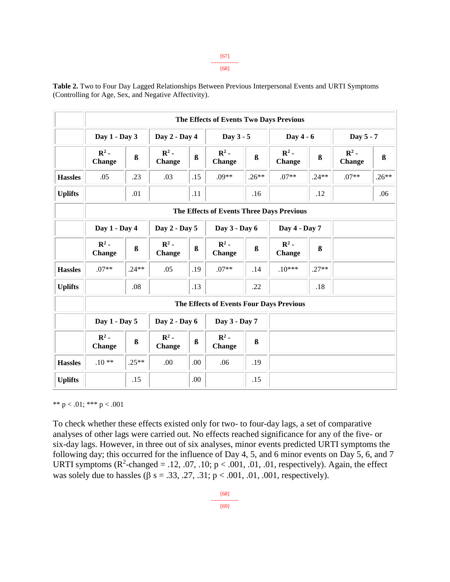[67] ---------------

[68]

**Table 2.** Two to Four Day Lagged Relationships Between Previous Interpersonal Events and URTI Symptoms (Controlling for Age, Sex, and Negative Affectivity).

|                |                                   |                      |                                   |               | The Effects of Events Two Days Previous   |                      |                                   |                      |                                   |         |
|----------------|-----------------------------------|----------------------|-----------------------------------|---------------|-------------------------------------------|----------------------|-----------------------------------|----------------------|-----------------------------------|---------|
|                | Day 1 - Day 3                     |                      | Day 2 - Day 4                     |               | Day 3 - 5                                 |                      | Day 4 - 6                         |                      | Day 5 - 7                         |         |
|                | $\mathbb{R}^2$ -<br><b>Change</b> | $\boldsymbol{\beta}$ | $\mathbb{R}^2$ -<br><b>Change</b> | ß             | $\mathbb{R}^2$ -<br>Change                | $\pmb{\beta}$        | $\mathbb{R}^2$ -<br><b>Change</b> | ß                    | $\mathbb{R}^2$ -<br><b>Change</b> | ß       |
| <b>Hassles</b> | .05                               | .23                  | .03                               | .15           | $.09**$                                   | $.26**$              | $.07**$                           | $.24**$              | $.07**$                           | $.26**$ |
| <b>Uplifts</b> |                                   | .01                  |                                   | .11           |                                           | .16                  |                                   | .12                  |                                   | .06     |
|                |                                   |                      |                                   |               | The Effects of Events Three Days Previous |                      |                                   |                      |                                   |         |
|                | Day 1 - Day 4                     |                      | Day 2 - Day 5                     |               | Day 3 - Day 6                             |                      | Day 4 - Day 7                     |                      |                                   |         |
|                | $\mathbb{R}^2$ -<br>Change        | $\pmb{\beta}$        | $\mathbb{R}^2$ -<br><b>Change</b> | $\pmb{\beta}$ | $\mathbb{R}^2$ -<br><b>Change</b>         | $\pmb{\beta}$        | $\mathbb{R}^2$ -<br><b>Change</b> | $\boldsymbol{\beta}$ |                                   |         |
| <b>Hassles</b> | $.07**$                           | $.24**$              | .05                               | .19           | $.07**$                                   | .14                  | $.10***$                          | $.27**$              |                                   |         |
| <b>Uplifts</b> |                                   | .08                  |                                   | .13           |                                           | .22                  |                                   | .18                  |                                   |         |
|                |                                   |                      |                                   |               | The Effects of Events Four Days Previous  |                      |                                   |                      |                                   |         |
|                | Day 1 - Day 5                     |                      | Day 2 - Day 6                     |               | Day 3 - Day 7                             |                      |                                   |                      |                                   |         |
|                | $\mathbb{R}^2$ -<br>Change        | $\pmb{\beta}$        | $\mathbb{R}^2$ -<br><b>Change</b> | ß             | $\mathbb{R}^2$ -<br><b>Change</b>         | $\boldsymbol{\beta}$ |                                   |                      |                                   |         |
| <b>Hassles</b> | $.10**$                           | $.25**$              | .00                               | .00           | .06                                       | .19                  |                                   |                      |                                   |         |
| <b>Uplifts</b> |                                   | .15                  |                                   | .00           |                                           | .15                  |                                   |                      |                                   |         |

\*\*  $p < .01$ ; \*\*\*  $p < .001$ 

To check whether these effects existed only for two- to four-day lags, a set of comparative analyses of other lags were carried out. No effects reached significance for any of the five- or six-day lags. However, in three out of six analyses, minor events predicted URTI symptoms the following day; this occurred for the influence of Day 4, 5, and 6 minor events on Day 5, 6, and 7 URTI symptoms ( $\mathbb{R}^2$ -changed = .12, .07, .10;  $p < .001$ , .01, .01, respectively). Again, the effect was solely due to hassles ( $\beta$  s = .33, .27, .31; p < .001, .01, .001, respectively).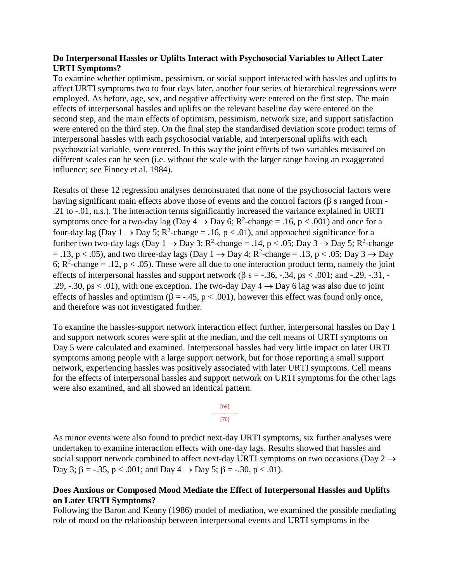#### **Do Interpersonal Hassles or Uplifts Interact with Psychosocial Variables to Affect Later URTI Symptoms?**

To examine whether optimism, pessimism, or social support interacted with hassles and uplifts to affect URTI symptoms two to four days later, another four series of hierarchical regressions were employed. As before, age, sex, and negative affectivity were entered on the first step. The main effects of interpersonal hassles and uplifts on the relevant baseline day were entered on the second step, and the main effects of optimism, pessimism, network size, and support satisfaction were entered on the third step. On the final step the standardised deviation score product terms of interpersonal hassles with each psychosocial variable, and interpersonal uplifts with each psychosocial variable, were entered. In this way the joint effects of two variables measured on different scales can be seen (i.e. without the scale with the larger range having an exaggerated influence; see Finney et al. 1984).

Results of these 12 regression analyses demonstrated that none of the psychosocial factors were having significant main effects above those of events and the control factors ( $\beta$  s ranged from -.21 to -.01, n.s.). The interaction terms significantly increased the variance explained in URTI symptoms once for a two-day lag (Day  $4 \rightarrow$  Day 6; R<sup>2</sup>-change = .16, p < .001) and once for a four-day lag (Day 1  $\rightarrow$  Day 5; R<sup>2</sup>-change = .16, p < .01), and approached significance for a further two two-day lags (Day 1  $\rightarrow$  Day 3; R<sup>2</sup>-change = .14, p < .05; Day 3  $\rightarrow$  Day 5; R<sup>2</sup>-change = .13, p < .05), and two three-day lags (Day 1  $\rightarrow$  Day 4; R<sup>2</sup>-change = .13, p < .05; Day 3  $\rightarrow$  Day 6;  $R^2$ -change = .12,  $p < .05$ ). These were all due to one interaction product term, namely the joint effects of interpersonal hassles and support network ( $\beta$  s = -.36, -.34, ps < .001; and -.29, -.31, -.29, -.30, ps < .01), with one exception. The two-day Day  $4 \rightarrow$  Day 6 lag was also due to joint effects of hassles and optimism ( $\beta = -0.45$ ,  $p < 0.001$ ), however this effect was found only once, and therefore was not investigated further.

To examine the hassles-support network interaction effect further, interpersonal hassles on Day 1 and support network scores were split at the median, and the cell means of URTI symptoms on Day 5 were calculated and examined. Interpersonal hassles had very little impact on later URTI symptoms among people with a large support network, but for those reporting a small support network, experiencing hassles was positively associated with later URTI symptoms. Cell means for the effects of interpersonal hassles and support network on URTI symptoms for the other lags were also examined, and all showed an identical pattern.

> [69] --------------- [70]

As minor events were also found to predict next-day URTI symptoms, six further analyses were undertaken to examine interaction effects with one-day lags. Results showed that hassles and social support network combined to affect next-day URTI symptoms on two occasions (Day  $2 \rightarrow$ Day 3;  $\beta = -.35$ ,  $p < .001$ ; and Day  $4 \rightarrow$  Day 5;  $\beta = -.30$ ,  $p < .01$ ).

#### **Does Anxious or Composed Mood Mediate the Effect of Interpersonal Hassles and Uplifts on Later URTI Symptoms?**

Following the Baron and Kenny (1986) model of mediation, we examined the possible mediating role of mood on the relationship between interpersonal events and URTI symptoms in the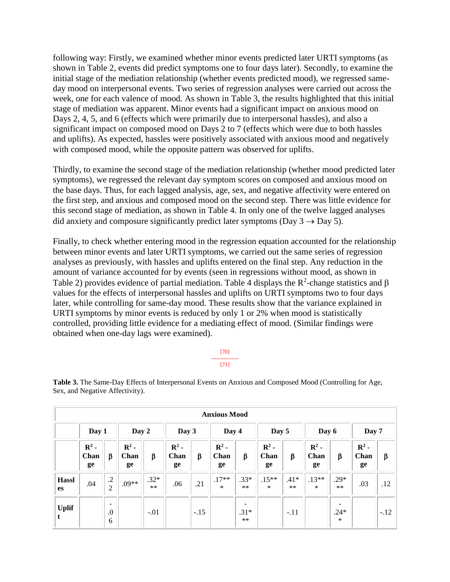following way: Firstly, we examined whether minor events predicted later URTI symptoms (as shown in Table 2, events did predict symptoms one to four days later). Secondly, to examine the initial stage of the mediation relationship (whether events predicted mood), we regressed sameday mood on interpersonal events. Two series of regression analyses were carried out across the week, one for each valence of mood. As shown in Table 3, the results highlighted that this initial stage of mediation was apparent. Minor events had a significant impact on anxious mood on Days 2, 4, 5, and 6 (effects which were primarily due to interpersonal hassles), and also a significant impact on composed mood on Days 2 to 7 (effects which were due to both hassles and uplifts). As expected, hassles were positively associated with anxious mood and negatively with composed mood, while the opposite pattern was observed for uplifts.

Thirdly, to examine the second stage of the mediation relationship (whether mood predicted later symptoms), we regressed the relevant day symptom scores on composed and anxious mood on the base days. Thus, for each lagged analysis, age, sex, and negative affectivity were entered on the first step, and anxious and composed mood on the second step. There was little evidence for this second stage of mediation, as shown in Table 4. In only one of the twelve lagged analyses did anxiety and composure significantly predict later symptoms (Day  $3 \rightarrow$  Day 5).

Finally, to check whether entering mood in the regression equation accounted for the relationship between minor events and later URTI symptoms, we carried out the same series of regression analyses as previously, with hassles and uplifts entered on the final step. Any reduction in the amount of variance accounted for by events (seen in regressions without mood, as shown in Table 2) provides evidence of partial mediation. Table 4 displays the  $R^2$ -change statistics and  $\beta$ values for the effects of interpersonal hassles and uplifts on URTI symptoms two to four days later, while controlling for same-day mood. These results show that the variance explained in URTI symptoms by minor events is reduced by only 1 or 2% when mood is statistically controlled, providing little evidence for a mediating effect of mood. (Similar findings were obtained when one-day lags were examined).

|  | 1701 |  |
|--|------|--|
|  |      |  |
|  | 711  |  |

|                    |                                |                                             |                                |                |                                |        | <b>Anxious Mood</b>            |                      |                                |                 |                                |                                              |                                |        |
|--------------------|--------------------------------|---------------------------------------------|--------------------------------|----------------|--------------------------------|--------|--------------------------------|----------------------|--------------------------------|-----------------|--------------------------------|----------------------------------------------|--------------------------------|--------|
|                    | Day 1                          |                                             | Day 2                          |                | Day 3                          |        | Day 4                          |                      | Day 5                          |                 | Day 6                          |                                              | Day 7                          |        |
|                    | $\mathbf{R}^2$ -<br>Chan<br>ge | $\beta$                                     | $\mathbb{R}^2$ -<br>Chan<br>ge | β              | $\mathbb{R}^2$ -<br>Chan<br>ge | β      | $\mathbb{R}^2$ -<br>Chan<br>ge | β                    | $\mathbb{R}^2$ -<br>Chan<br>ge | β               | $\mathbb{R}^2$ -<br>Chan<br>ge | β                                            | $\mathbb{R}^2$ -<br>Chan<br>ge | β      |
| <b>Hassl</b><br>es | .04                            | $\cdot$ .2<br>$\overline{2}$                | $.09**$                        | $.32*$<br>$**$ | .06                            | .21    | $.17**$<br>$\ast$              | $.33*$<br>$**$       | $.15**$<br>*                   | $.41*$<br>$***$ | $.13**$<br>$\ast$              | $.29*$<br>**                                 | .03                            | .12    |
| <b>Uplif</b>       |                                | $\overline{\phantom{a}}$<br>$\Omega$ .<br>6 |                                | $-.01$         |                                | $-.15$ |                                | ۰<br>$.31*$<br>$***$ |                                | $-.11$          |                                | $\overline{\phantom{a}}$<br>$.24*$<br>$\ast$ |                                | $-.12$ |

**Table 3.** The Same-Day Effects of Interpersonal Events on Anxious and Composed Mood (Controlling for Age, Sex, and Negative Affectivity).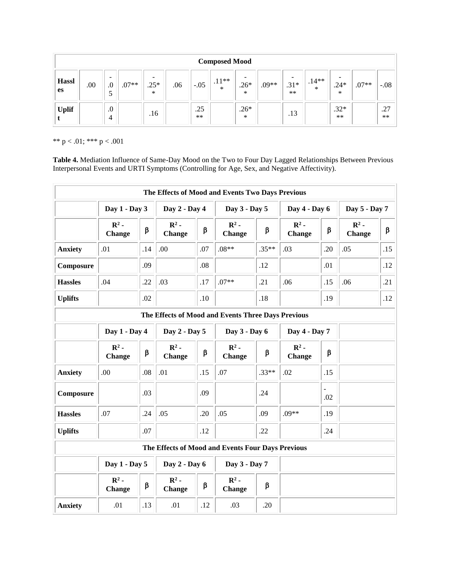|                    |     |                                             |         |                  |     |             | <b>Composed Mood</b> |             |         |                      |                    |                  |         |             |
|--------------------|-----|---------------------------------------------|---------|------------------|-----|-------------|----------------------|-------------|---------|----------------------|--------------------|------------------|---------|-------------|
| <b>Hassl</b><br>es | .00 | $\overline{\phantom{a}}$<br>$\Omega$ .<br>ͻ | $.07**$ | -<br>$.25*$<br>* | .06 | $-.05$      | $.11***$<br>$\ast$   | $.26*$<br>* | $.09**$ | -<br>$.31*$<br>$***$ | $.14***$<br>$\ast$ | -<br>$.24*$<br>* | $.07**$ | $-.08$      |
| <b>Uplif</b>       |     | $\cdot$<br>4                                |         | .16              |     | .25<br>$**$ |                      | $.26*$<br>* |         | .13                  |                    | $.32*$<br>**     |         | .27<br>$**$ |

\*\* p < .01; \*\*\* p < .001

**Table 4.** Mediation Influence of Same-Day Mood on the Two to Four Day Lagged Relationships Between Previous Interpersonal Events and URTI Symptoms (Controlling for Age, Sex, and Negative Affectivity).

|                |                                   |     |                                   |     | The Effects of Mood and Events Two Days Previous   |         |                                   |                       |                                   |         |
|----------------|-----------------------------------|-----|-----------------------------------|-----|----------------------------------------------------|---------|-----------------------------------|-----------------------|-----------------------------------|---------|
|                | Day 1 - Day 3                     |     | Day 2 - Day 4                     |     | Day 3 - Day 5                                      |         | Day 4 - Day 6                     |                       | Day 5 - Day 7                     |         |
|                | $\mathbb{R}^2$ -<br><b>Change</b> | β   | $\mathbb{R}^2$ .<br><b>Change</b> | β   | $\mathbb{R}^2$ -<br><b>Change</b>                  | β       | $\mathbb{R}^2$ -<br><b>Change</b> | β                     | $\mathbb{R}^2$ -<br><b>Change</b> | $\beta$ |
| <b>Anxiety</b> | .01                               | .14 | .00                               | .07 | $.08**$                                            | $.35**$ | .03                               | .20                   | .05                               | .15     |
| Composure      |                                   | .09 |                                   | .08 |                                                    | .12     |                                   | .01                   |                                   | .12     |
| <b>Hassles</b> | .04                               | .22 | .03                               | .17 | $.07**$                                            | .21     | .06                               | .15                   | .06                               | .21     |
| <b>Uplifts</b> |                                   | .02 |                                   | .10 |                                                    | .18     |                                   | .19                   |                                   | .12     |
|                |                                   |     |                                   |     | The Effects of Mood and Events Three Days Previous |         |                                   |                       |                                   |         |
|                | Day 1 - Day 4                     |     | Day 2 - Day 5                     |     | Day 3 - Day 6                                      |         | Day 4 - Day 7                     |                       |                                   |         |
|                | $\mathbb{R}^2$ -<br><b>Change</b> | β   | $\mathbb{R}^2$ -<br><b>Change</b> | β   | $\mathbb{R}^2$ -<br><b>Change</b>                  | β       | $\mathbb{R}^2$ -<br><b>Change</b> | $\beta$               |                                   |         |
| <b>Anxiety</b> | .00                               | .08 | .01                               | .15 | .07                                                | $.33**$ | .02                               | .15                   |                                   |         |
| Composure      |                                   | .03 |                                   | .09 |                                                    | .24     |                                   | $\overline{a}$<br>.02 |                                   |         |
| <b>Hassles</b> | .07                               | .24 | .05                               | .20 | .05                                                | .09     | $.09**$                           | .19                   |                                   |         |
| <b>Uplifts</b> |                                   | .07 |                                   | .12 |                                                    | .22     |                                   | .24                   |                                   |         |
|                |                                   |     |                                   |     | The Effects of Mood and Events Four Days Previous  |         |                                   |                       |                                   |         |
|                | Day 1 - Day 5                     |     | Day 2 - Day 6                     |     | Day 3 - Day 7                                      |         |                                   |                       |                                   |         |
|                | $\mathbb{R}^2$ -<br><b>Change</b> | β   | $\mathbb{R}^2$ -<br><b>Change</b> | β   | $\mathbb{R}^2$ -<br><b>Change</b>                  | β       |                                   |                       |                                   |         |
| <b>Anxiety</b> | .01                               | .13 | .01                               | .12 | .03                                                | .20     |                                   |                       |                                   |         |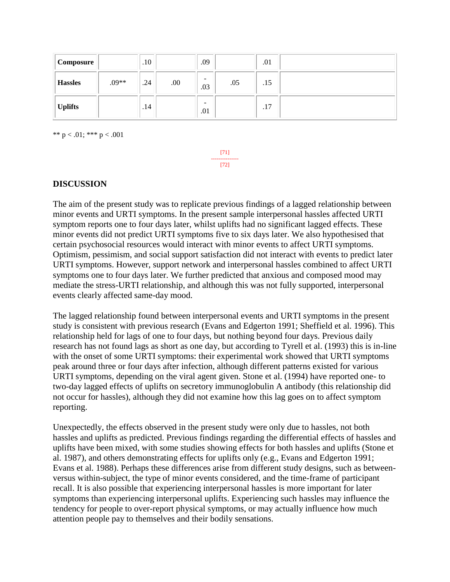| Composure      |         | .10 |     | .09      |     | .01 |
|----------------|---------|-----|-----|----------|-----|-----|
| <b>Hassles</b> | $.09**$ | .24 | .00 | -<br>.03 | .05 | .15 |
| <b>Uplifts</b> |         | .14 |     | -<br>.01 |     | .17 |

\*\*  $p < .01$ ; \*\*\*  $p < .001$ 

[71] --------------- [72]

## **DISCUSSION**

The aim of the present study was to replicate previous findings of a lagged relationship between minor events and URTI symptoms. In the present sample interpersonal hassles affected URTI symptom reports one to four days later, whilst uplifts had no significant lagged effects. These minor events did not predict URTI symptoms five to six days later. We also hypothesised that certain psychosocial resources would interact with minor events to affect URTI symptoms. Optimism, pessimism, and social support satisfaction did not interact with events to predict later URTI symptoms. However, support network and interpersonal hassles combined to affect URTI symptoms one to four days later. We further predicted that anxious and composed mood may mediate the stress-URTI relationship, and although this was not fully supported, interpersonal events clearly affected same-day mood.

The lagged relationship found between interpersonal events and URTI symptoms in the present study is consistent with previous research (Evans and Edgerton 1991; Sheffield et al. 1996). This relationship held for lags of one to four days, but nothing beyond four days. Previous daily research has not found lags as short as one day, but according to Tyrell et al. (1993) this is in-line with the onset of some URTI symptoms: their experimental work showed that URTI symptoms peak around three or four days after infection, although different patterns existed for various URTI symptoms, depending on the viral agent given. Stone et al. (1994) have reported one- to two-day lagged effects of uplifts on secretory immunoglobulin A antibody (this relationship did not occur for hassles), although they did not examine how this lag goes on to affect symptom reporting.

Unexpectedly, the effects observed in the present study were only due to hassles, not both hassles and uplifts as predicted. Previous findings regarding the differential effects of hassles and uplifts have been mixed, with some studies showing effects for both hassles and uplifts (Stone et al. 1987), and others demonstrating effects for uplifts only (e.g., Evans and Edgerton 1991; Evans et al. 1988). Perhaps these differences arise from different study designs, such as betweenversus within-subject, the type of minor events considered, and the time-frame of participant recall. It is also possible that experiencing interpersonal hassles is more important for later symptoms than experiencing interpersonal uplifts. Experiencing such hassles may influence the tendency for people to over-report physical symptoms, or may actually influence how much attention people pay to themselves and their bodily sensations.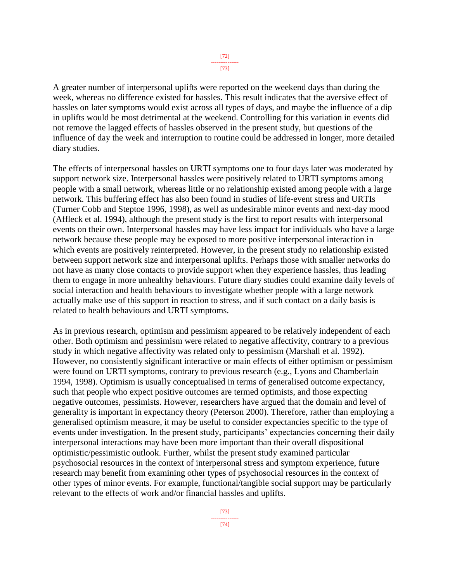[73]

A greater number of interpersonal uplifts were reported on the weekend days than during the week, whereas no difference existed for hassles. This result indicates that the aversive effect of hassles on later symptoms would exist across all types of days, and maybe the influence of a dip in uplifts would be most detrimental at the weekend. Controlling for this variation in events did not remove the lagged effects of hassles observed in the present study, but questions of the influence of day the week and interruption to routine could be addressed in longer, more detailed diary studies.

The effects of interpersonal hassles on URTI symptoms one to four days later was moderated by support network size. Interpersonal hassles were positively related to URTI symptoms among people with a small network, whereas little or no relationship existed among people with a large network. This buffering effect has also been found in studies of life-event stress and URTIs (Turner Cobb and Steptoe 1996, 1998), as well as undesirable minor events and next-day mood (Affleck et al. 1994), although the present study is the first to report results with interpersonal events on their own. Interpersonal hassles may have less impact for individuals who have a large network because these people may be exposed to more positive interpersonal interaction in which events are positively reinterpreted. However, in the present study no relationship existed between support network size and interpersonal uplifts. Perhaps those with smaller networks do not have as many close contacts to provide support when they experience hassles, thus leading them to engage in more unhealthy behaviours. Future diary studies could examine daily levels of social interaction and health behaviours to investigate whether people with a large network actually make use of this support in reaction to stress, and if such contact on a daily basis is related to health behaviours and URTI symptoms.

As in previous research, optimism and pessimism appeared to be relatively independent of each other. Both optimism and pessimism were related to negative affectivity, contrary to a previous study in which negative affectivity was related only to pessimism (Marshall et al. 1992). However, no consistently significant interactive or main effects of either optimism or pessimism were found on URTI symptoms, contrary to previous research (e.g., Lyons and Chamberlain 1994, 1998). Optimism is usually conceptualised in terms of generalised outcome expectancy, such that people who expect positive outcomes are termed optimists, and those expecting negative outcomes, pessimists. However, researchers have argued that the domain and level of generality is important in expectancy theory (Peterson 2000). Therefore, rather than employing a generalised optimism measure, it may be useful to consider expectancies specific to the type of events under investigation. In the present study, participants' expectancies concerning their daily interpersonal interactions may have been more important than their overall dispositional optimistic/pessimistic outlook. Further, whilst the present study examined particular psychosocial resources in the context of interpersonal stress and symptom experience, future research may benefit from examining other types of psychosocial resources in the context of other types of minor events. For example, functional/tangible social support may be particularly relevant to the effects of work and/or financial hassles and uplifts.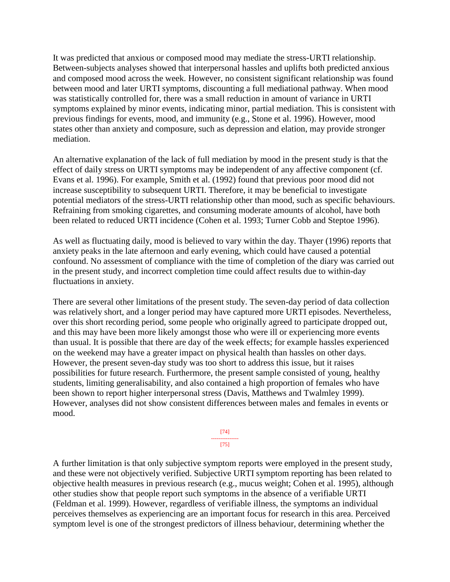It was predicted that anxious or composed mood may mediate the stress-URTI relationship. Between-subjects analyses showed that interpersonal hassles and uplifts both predicted anxious and composed mood across the week. However, no consistent significant relationship was found between mood and later URTI symptoms, discounting a full mediational pathway. When mood was statistically controlled for, there was a small reduction in amount of variance in URTI symptoms explained by minor events, indicating minor, partial mediation. This is consistent with previous findings for events, mood, and immunity (e.g., Stone et al. 1996). However, mood states other than anxiety and composure, such as depression and elation, may provide stronger mediation.

An alternative explanation of the lack of full mediation by mood in the present study is that the effect of daily stress on URTI symptoms may be independent of any affective component (cf. Evans et al. 1996). For example, Smith et al. (1992) found that previous poor mood did not increase susceptibility to subsequent URTI. Therefore, it may be beneficial to investigate potential mediators of the stress-URTI relationship other than mood, such as specific behaviours. Refraining from smoking cigarettes, and consuming moderate amounts of alcohol, have both been related to reduced URTI incidence (Cohen et al. 1993; Turner Cobb and Steptoe 1996).

As well as fluctuating daily, mood is believed to vary within the day. Thayer (1996) reports that anxiety peaks in the late afternoon and early evening, which could have caused a potential confound. No assessment of compliance with the time of completion of the diary was carried out in the present study, and incorrect completion time could affect results due to within-day fluctuations in anxiety.

There are several other limitations of the present study. The seven-day period of data collection was relatively short, and a longer period may have captured more URTI episodes. Nevertheless, over this short recording period, some people who originally agreed to participate dropped out, and this may have been more likely amongst those who were ill or experiencing more events than usual. It is possible that there are day of the week effects; for example hassles experienced on the weekend may have a greater impact on physical health than hassles on other days. However, the present seven-day study was too short to address this issue, but it raises possibilities for future research. Furthermore, the present sample consisted of young, healthy students, limiting generalisability, and also contained a high proportion of females who have been shown to report higher interpersonal stress (Davis, Matthews and Twalmley 1999). However, analyses did not show consistent differences between males and females in events or mood.

> [74] --------------- [75]

A further limitation is that only subjective symptom reports were employed in the present study, and these were not objectively verified. Subjective URTI symptom reporting has been related to objective health measures in previous research (e.g., mucus weight; Cohen et al. 1995), although other studies show that people report such symptoms in the absence of a verifiable URTI (Feldman et al. 1999). However, regardless of verifiable illness, the symptoms an individual perceives themselves as experiencing are an important focus for research in this area. Perceived symptom level is one of the strongest predictors of illness behaviour, determining whether the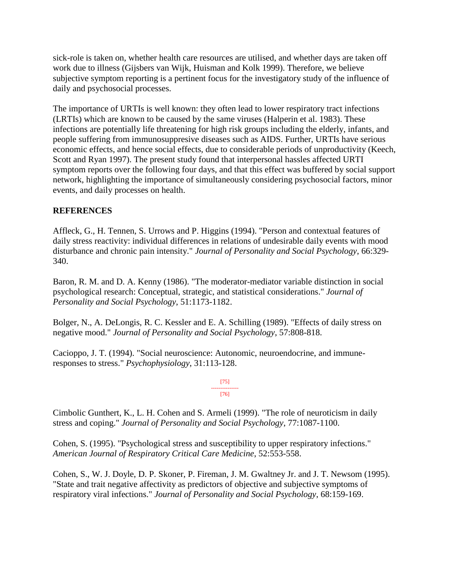sick-role is taken on, whether health care resources are utilised, and whether days are taken off work due to illness (Gijsbers van Wijk, Huisman and Kolk 1999). Therefore, we believe subjective symptom reporting is a pertinent focus for the investigatory study of the influence of daily and psychosocial processes.

The importance of URTIs is well known: they often lead to lower respiratory tract infections (LRTIs) which are known to be caused by the same viruses (Halperin et al. 1983). These infections are potentially life threatening for high risk groups including the elderly, infants, and people suffering from immunosuppresive diseases such as AIDS. Further, URTIs have serious economic effects, and hence social effects, due to considerable periods of unproductivity (Keech, Scott and Ryan 1997). The present study found that interpersonal hassles affected URTI symptom reports over the following four days, and that this effect was buffered by social support network, highlighting the importance of simultaneously considering psychosocial factors, minor events, and daily processes on health.

## **REFERENCES**

Affleck, G., H. Tennen, S. Urrows and P. Higgins (1994). "Person and contextual features of daily stress reactivity: individual differences in relations of undesirable daily events with mood disturbance and chronic pain intensity." *Journal of Personality and Social Psychology*, 66:329- 340.

Baron, R. M. and D. A. Kenny (1986). "The moderator-mediator variable distinction in social psychological research: Conceptual, strategic, and statistical considerations." *Journal of Personality and Social Psychology*, 51:1173-1182.

Bolger, N., A. DeLongis, R. C. Kessler and E. A. Schilling (1989). "Effects of daily stress on negative mood." *Journal of Personality and Social Psychology*, 57:808-818.

Cacioppo, J. T. (1994). "Social neuroscience: Autonomic, neuroendocrine, and immuneresponses to stress." *Psychophysiology*, 31:113-128.

> [75] --------------- [76]

Cimbolic Gunthert, K., L. H. Cohen and S. Armeli (1999). "The role of neuroticism in daily stress and coping." *Journal of Personality and Social Psychology*, 77:1087-1100.

Cohen, S. (1995). "Psychological stress and susceptibility to upper respiratory infections." *American Journal of Respiratory Critical Care Medicine*, 52:553-558.

Cohen, S., W. J. Doyle, D. P. Skoner, P. Fireman, J. M. Gwaltney Jr. and J. T. Newsom (1995). "State and trait negative affectivity as predictors of objective and subjective symptoms of respiratory viral infections." *Journal of Personality and Social Psychology*, 68:159-169.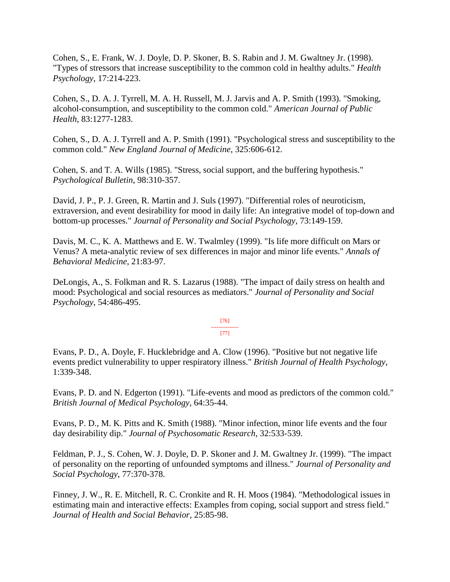Cohen, S., E. Frank, W. J. Doyle, D. P. Skoner, B. S. Rabin and J. M. Gwaltney Jr. (1998). "Types of stressors that increase susceptibility to the common cold in healthy adults." *Health Psychology*, 17:214-223.

Cohen, S., D. A. J. Tyrrell, M. A. H. Russell, M. J. Jarvis and A. P. Smith (1993). "Smoking, alcohol-consumption, and susceptibility to the common cold." *American Journal of Public Health*, 83:1277-1283.

Cohen, S., D. A. J. Tyrrell and A. P. Smith (1991). "Psychological stress and susceptibility to the common cold." *New England Journal of Medicine*, 325:606-612.

Cohen, S. and T. A. Wills (1985). "Stress, social support, and the buffering hypothesis." *Psychological Bulletin*, 98:310-357.

David, J. P., P. J. Green, R. Martin and J. Suls (1997). "Differential roles of neuroticism, extraversion, and event desirability for mood in daily life: An integrative model of top-down and bottom-up processes." *Journal of Personality and Social Psychology*, 73:149-159.

Davis, M. C., K. A. Matthews and E. W. Twalmley (1999). "Is life more difficult on Mars or Venus? A meta-analytic review of sex differences in major and minor life events." *Annals of Behavioral Medicine*, 21:83-97.

DeLongis, A., S. Folkman and R. S. Lazarus (1988). "The impact of daily stress on health and mood: Psychological and social resources as mediators." *Journal of Personality and Social Psychology*, 54:486-495.

> [76] --------------- [77]

Evans, P. D., A. Doyle, F. Hucklebridge and A. Clow (1996). "Positive but not negative life events predict vulnerability to upper respiratory illness." *British Journal of Health Psychology*, 1:339-348.

Evans, P. D. and N. Edgerton (1991). "Life-events and mood as predictors of the common cold." *British Journal of Medical Psychology*, 64:35-44.

Evans, P. D., M. K. Pitts and K. Smith (1988). "Minor infection, minor life events and the four day desirability dip." *Journal of Psychosomatic Research*, 32:533-539.

Feldman, P. J., S. Cohen, W. J. Doyle, D. P. Skoner and J. M. Gwaltney Jr. (1999). "The impact of personality on the reporting of unfounded symptoms and illness." *Journal of Personality and Social Psychology*, 77:370-378.

Finney, J. W., R. E. Mitchell, R. C. Cronkite and R. H. Moos (1984). "Methodological issues in estimating main and interactive effects: Examples from coping, social support and stress field." *Journal of Health and Social Behavior*, 25:85-98.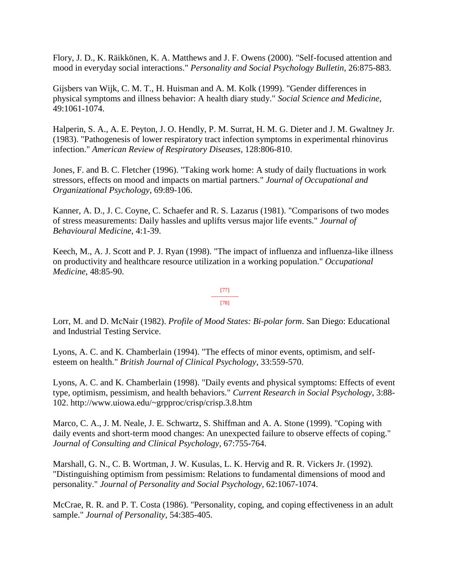Flory, J. D., K. Räikkönen, K. A. Matthews and J. F. Owens (2000). "Self-focused attention and mood in everyday social interactions." *Personality and Social Psychology Bulletin*, 26:875-883.

Gijsbers van Wijk, C. M. T., H. Huisman and A. M. Kolk (1999). "Gender differences in physical symptoms and illness behavior: A health diary study." *Social Science and Medicine*, 49:1061-1074.

Halperin, S. A., A. E. Peyton, J. O. Hendly, P. M. Surrat, H. M. G. Dieter and J. M. Gwaltney Jr. (1983). "Pathogenesis of lower respiratory tract infection symptoms in experimental rhinovirus infection." *American Review of Respiratory Diseases*, 128:806-810.

Jones, F. and B. C. Fletcher (1996). "Taking work home: A study of daily fluctuations in work stressors, effects on mood and impacts on martial partners." *Journal of Occupational and Organizational Psychology*, 69:89-106.

Kanner, A. D., J. C. Coyne, C. Schaefer and R. S. Lazarus (1981). "Comparisons of two modes of stress measurements: Daily hassles and uplifts versus major life events." *Journal of Behavioural Medicine*, 4:1-39.

Keech, M., A. J. Scott and P. J. Ryan (1998). "The impact of influenza and influenza-like illness on productivity and healthcare resource utilization in a working population." *Occupational Medicine*, 48:85-90.

> [77] --------------- [78]

Lorr, M. and D. McNair (1982). *Profile of Mood States: Bi-polar form*. San Diego: Educational and Industrial Testing Service.

Lyons, A. C. and K. Chamberlain (1994). "The effects of minor events, optimism, and selfesteem on health." *British Journal of Clinical Psychology*, 33:559-570.

Lyons, A. C. and K. Chamberlain (1998). "Daily events and physical symptoms: Effects of event type, optimism, pessimism, and health behaviors." *Current Research in Social Psychology*, 3:88- 102. http://www.uiowa.edu/~grpproc/crisp/crisp.3.8.htm

Marco, C. A., J. M. Neale, J. E. Schwartz, S. Shiffman and A. A. Stone (1999). "Coping with daily events and short-term mood changes: An unexpected failure to observe effects of coping." *Journal of Consulting and Clinical Psychology*, 67:755-764.

Marshall, G. N., C. B. Wortman, J. W. Kusulas, L. K. Hervig and R. R. Vickers Jr. (1992). "Distinguishing optimism from pessimism: Relations to fundamental dimensions of mood and personality." *Journal of Personality and Social Psychology*, 62:1067-1074.

McCrae, R. R. and P. T. Costa (1986). "Personality, coping, and coping effectiveness in an adult sample." *Journal of Personality*, 54:385-405.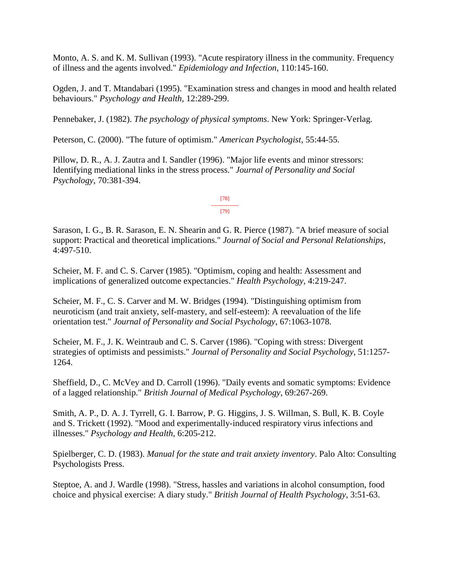Monto, A. S. and K. M. Sullivan (1993). "Acute respiratory illness in the community. Frequency of illness and the agents involved." *Epidemiology and Infection*, 110:145-160.

Ogden, J. and T. Mtandabari (1995). "Examination stress and changes in mood and health related behaviours." *Psychology and Health*, 12:289-299.

Pennebaker, J. (1982). *The psychology of physical symptoms*. New York: Springer-Verlag.

Peterson, C. (2000). "The future of optimism." *American Psychologist*, 55:44-55.

Pillow, D. R., A. J. Zautra and I. Sandler (1996). "Major life events and minor stressors: Identifying mediational links in the stress process." *Journal of Personality and Social Psychology*, 70:381-394.

> [78] --------------- [79]

Sarason, I. G., B. R. Sarason, E. N. Shearin and G. R. Pierce (1987). "A brief measure of social support: Practical and theoretical implications." *Journal of Social and Personal Relationships*, 4:497-510.

Scheier, M. F. and C. S. Carver (1985). "Optimism, coping and health: Assessment and implications of generalized outcome expectancies." *Health Psychology*, 4:219-247.

Scheier, M. F., C. S. Carver and M. W. Bridges (1994). "Distinguishing optimism from neuroticism (and trait anxiety, self-mastery, and self-esteem): A reevaluation of the life orientation test." *Journal of Personality and Social Psychology*, 67:1063-1078.

Scheier, M. F., J. K. Weintraub and C. S. Carver (1986). "Coping with stress: Divergent strategies of optimists and pessimists." *Journal of Personality and Social Psychology*, 51:1257- 1264.

Sheffield, D., C. McVey and D. Carroll (1996). "Daily events and somatic symptoms: Evidence of a lagged relationship." *British Journal of Medical Psychology*, 69:267-269.

Smith, A. P., D. A. J. Tyrrell, G. I. Barrow, P. G. Higgins, J. S. Willman, S. Bull, K. B. Coyle and S. Trickett (1992). "Mood and experimentally-induced respiratory virus infections and illnesses." *Psychology and Health*, 6:205-212.

Spielberger, C. D. (1983). *Manual for the state and trait anxiety inventory*. Palo Alto: Consulting Psychologists Press.

Steptoe, A. and J. Wardle (1998). "Stress, hassles and variations in alcohol consumption, food choice and physical exercise: A diary study." *British Journal of Health Psychology*, 3:51-63.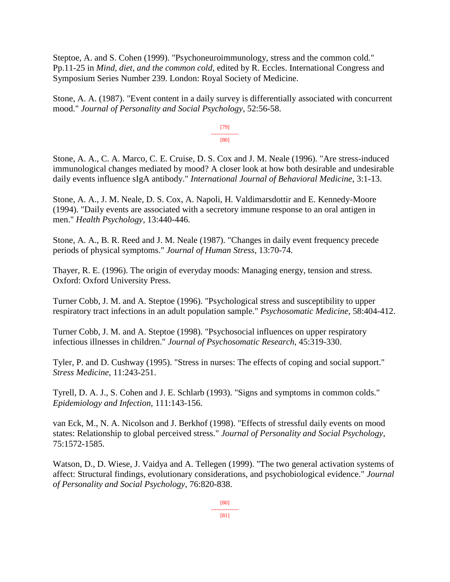Steptoe, A. and S. Cohen (1999). "Psychoneuroimmunology, stress and the common cold." Pp.11-25 in *Mind, diet, and the common cold*, edited by R. Eccles. International Congress and Symposium Series Number 239. London: Royal Society of Medicine.

Stone, A. A. (1987). "Event content in a daily survey is differentially associated with concurrent mood." *Journal of Personality and Social Psychology*, 52:56-58.

> [79] --------------- [80]

Stone, A. A., C. A. Marco, C. E. Cruise, D. S. Cox and J. M. Neale (1996). "Are stress-induced immunological changes mediated by mood? A closer look at how both desirable and undesirable daily events influence sIgA antibody." *International Journal of Behavioral Medicine*, 3:1-13.

Stone, A. A., J. M. Neale, D. S. Cox, A. Napoli, H. Valdimarsdottir and E. Kennedy-Moore (1994). "Daily events are associated with a secretory immune response to an oral antigen in men." *Health Psychology*, 13:440-446.

Stone, A. A., B. R. Reed and J. M. Neale (1987). "Changes in daily event frequency precede periods of physical symptoms." *Journal of Human Stress*, 13:70-74.

Thayer, R. E. (1996). The origin of everyday moods: Managing energy, tension and stress. Oxford: Oxford University Press.

Turner Cobb, J. M. and A. Steptoe (1996). "Psychological stress and susceptibility to upper respiratory tract infections in an adult population sample." *Psychosomatic Medicine*, 58:404-412.

Turner Cobb, J. M. and A. Steptoe (1998). "Psychosocial influences on upper respiratory infectious illnesses in children." *Journal of Psychosomatic Research*, 45:319-330.

Tyler, P. and D. Cushway (1995). "Stress in nurses: The effects of coping and social support." *Stress Medicine*, 11:243-251.

Tyrell, D. A. J., S. Cohen and J. E. Schlarb (1993). "Signs and symptoms in common colds." *Epidemiology and Infection*, 111:143-156.

van Eck, M., N. A. Nicolson and J. Berkhof (1998). "Effects of stressful daily events on mood states: Relationship to global perceived stress." *Journal of Personality and Social Psychology*, 75:1572-1585.

Watson, D., D. Wiese, J. Vaidya and A. Tellegen (1999). "The two general activation systems of affect: Structural findings, evolutionary considerations, and psychobiological evidence." *Journal of Personality and Social Psychology*, 76:820-838.